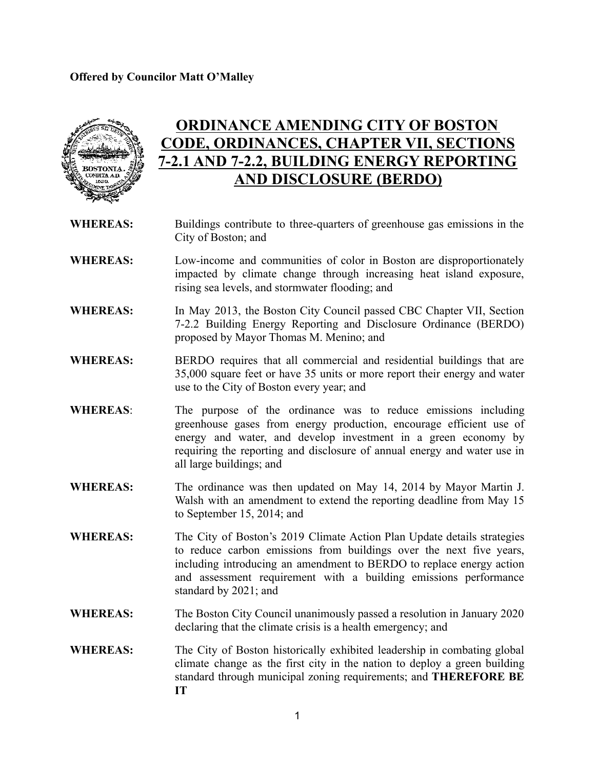

# **ORDINANCE AMENDING CITY OF BOSTON CODE, ORDINANCES, CHAPTER VII, SECTIONS 7-2.1 AND 7-2.2, BUILDING ENERGY REPORTING AND DISCLOSURE (BERDO)**

- **WHEREAS:** Buildings contribute to three-quarters of greenhouse gas emissions in the City of Boston; and
- **WHEREAS:** Low-income and communities of color in Boston are disproportionately impacted by climate change through increasing heat island exposure, rising sea levels, and stormwater flooding; and
- **WHEREAS:** In May 2013, the Boston City Council passed CBC Chapter VII, Section 7-2.2 Building Energy Reporting and Disclosure Ordinance (BERDO) proposed by Mayor Thomas M. Menino; and
- **WHEREAS:** BERDO requires that all commercial and residential buildings that are 35,000 square feet or have 35 units or more report their energy and water use to the City of Boston every year; and
- **WHEREAS**: The purpose of the ordinance was to reduce emissions including greenhouse gases from energy production, encourage efficient use of energy and water, and develop investment in a green economy by requiring the reporting and disclosure of annual energy and water use in all large buildings; and
- **WHEREAS:** The ordinance was then updated on May 14, 2014 by Mayor Martin J. Walsh with an amendment to extend the reporting deadline from May 15 to September 15, 2014; and
- **WHEREAS:** The City of Boston's 2019 Climate Action Plan Update details strategies to reduce carbon emissions from buildings over the next five years, including introducing an amendment to BERDO to replace energy action and assessment requirement with a building emissions performance standard by 2021; and
- **WHEREAS:** The Boston City Council unanimously passed a resolution in January 2020 declaring that the climate crisis is a health emergency; and
- **WHEREAS:** The City of Boston historically exhibited leadership in combating global climate change as the first city in the nation to deploy a green building standard through municipal zoning requirements; and **THEREFORE BE IT**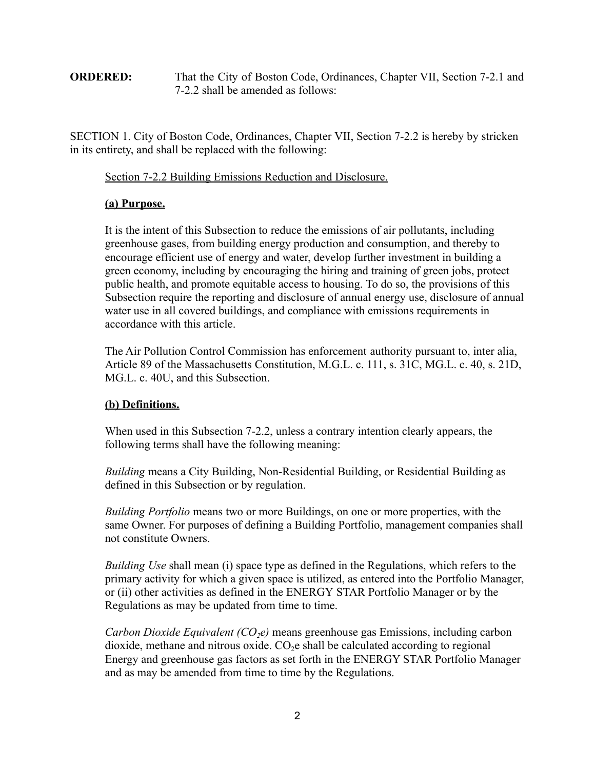## **ORDERED:** That the City of Boston Code, Ordinances, Chapter VII, Section 7-2.1 and 7-2.2 shall be amended as follows:

SECTION 1. City of Boston Code, Ordinances, Chapter VII, Section 7-2.2 is hereby by stricken in its entirety, and shall be replaced with the following:

Section 7-2.2 Building Emissions Reduction and Disclosure.

## **(a) Purpose.**

It is the intent of this Subsection to reduce the emissions of air pollutants, including greenhouse gases, from building energy production and consumption, and thereby to encourage efficient use of energy and water, develop further investment in building a green economy, including by encouraging the hiring and training of green jobs, protect public health, and promote equitable access to housing. To do so, the provisions of this Subsection require the reporting and disclosure of annual energy use, disclosure of annual water use in all covered buildings, and compliance with emissions requirements in accordance with this article.

The Air Pollution Control Commission has enforcement authority pursuant to, inter alia, Article 89 of the Massachusetts Constitution, M.G.L. c. 111, s. 31C, MG.L. c. 40, s. 21D, MG.L. c. 40U, and this Subsection.

## **(b) Definitions.**

When used in this Subsection 7-2.2, unless a contrary intention clearly appears, the following terms shall have the following meaning:

*Building* means a City Building, Non-Residential Building, or Residential Building as defined in this Subsection or by regulation.

*Building Portfolio* means two or more Buildings, on one or more properties, with the same Owner. For purposes of defining a Building Portfolio, management companies shall not constitute Owners.

*Building Use* shall mean (i) space type as defined in the Regulations, which refers to the primary activity for which a given space is utilized, as entered into the Portfolio Manager, or (ii) other activities as defined in the ENERGY STAR Portfolio Manager or by the Regulations as may be updated from time to time.

*Carbon Dioxide Equivalent (CO<sub>2</sub>e)* means greenhouse gas Emissions, including carbon dioxide, methane and nitrous oxide.  $CO<sub>2</sub>e$  shall be calculated according to regional Energy and greenhouse gas factors as set forth in the ENERGY STAR Portfolio Manager and as may be amended from time to time by the Regulations.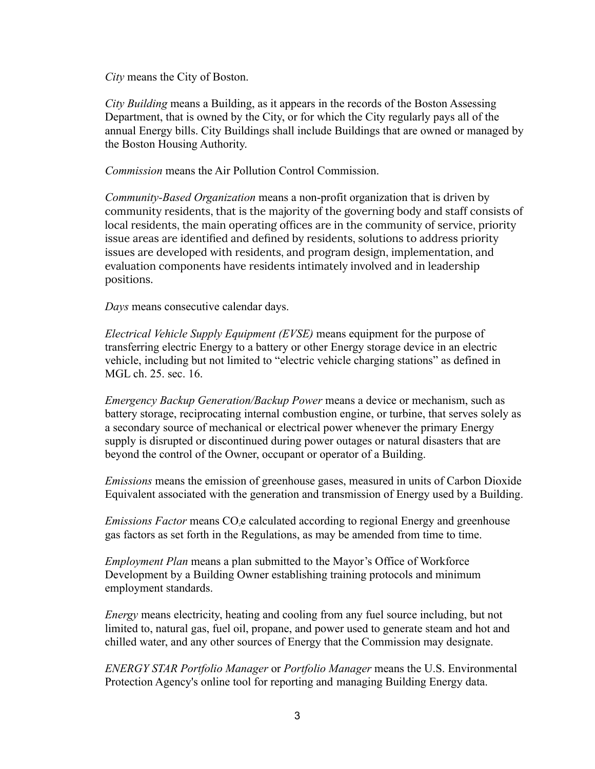*City* means the City of Boston.

*City Building* means a Building, as it appears in the records of the Boston Assessing Department, that is owned by the City, or for which the City regularly pays all of the annual Energy bills. City Buildings shall include Buildings that are owned or managed by the Boston Housing Authority.

*Commission* means the Air Pollution Control Commission.

*Community-Based Organization* means a non-profit organization that is driven by community residents, that is the majority of the governing body and staff consists of local residents, the main operating offices are in the community of service, priority issue areas are identified and defined by residents, solutions to address priority issues are developed with residents, and program design, implementation, and evaluation components have residents intimately involved and in leadership positions.

*Days* means consecutive calendar days.

*Electrical Vehicle Supply Equipment (EVSE)* means equipment for the purpose of transferring electric Energy to a battery or other Energy storage device in an electric vehicle, including but not limited to "electric vehicle charging stations" as defined in MGL ch. 25. sec. 16.

*Emergency Backup Generation/Backup Power* means a device or mechanism, such as battery storage, reciprocating internal combustion engine, or turbine, that serves solely as a secondary source of mechanical or electrical power whenever the primary Energy supply is disrupted or discontinued during power outages or natural disasters that are beyond the control of the Owner, occupant or operator of a Building.

*Emissions* means the emission of greenhouse gases, measured in units of Carbon Dioxide Equivalent associated with the generation and transmission of Energy used by a Building.

*Emissions Factor* means CO<sub>2</sub>e calculated according to regional Energy and greenhouse gas factors as set forth in the Regulations, as may be amended from time to time.

*Employment Plan* means a plan submitted to the Mayor's Office of Workforce Development by a Building Owner establishing training protocols and minimum employment standards.

*Energy* means electricity, heating and cooling from any fuel source including, but not limited to, natural gas, fuel oil, propane, and power used to generate steam and hot and chilled water, and any other sources of Energy that the Commission may designate.

*ENERGY STAR Portfolio Manager* or *Portfolio Manager* means the U.S. Environmental Protection Agency's online tool for reporting and managing Building Energy data.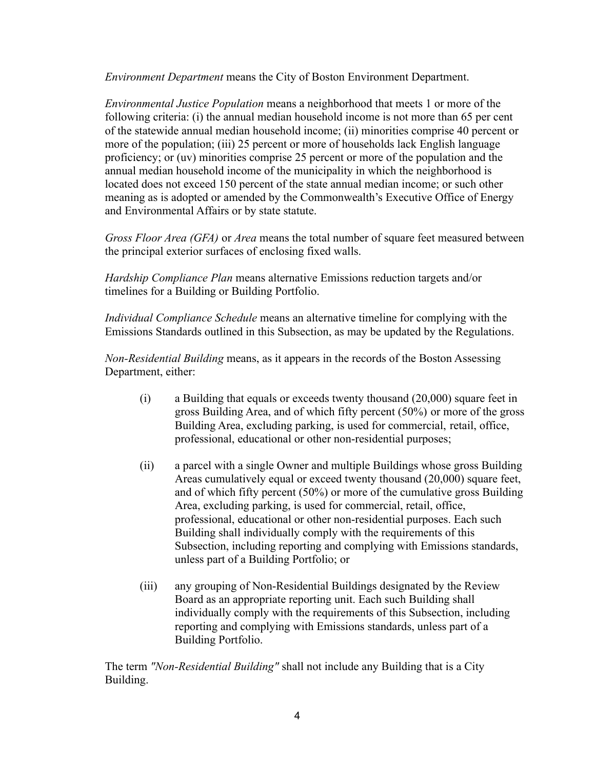*Environment Department* means the City of Boston Environment Department.

*Environmental Justice Population* means a neighborhood that meets 1 or more of the following criteria: (i) the annual median household income is not more than 65 per cent of the statewide annual median household income; (ii) minorities comprise 40 percent or more of the population; (iii) 25 percent or more of households lack English language proficiency; or (uv) minorities comprise 25 percent or more of the population and the annual median household income of the municipality in which the neighborhood is located does not exceed 150 percent of the state annual median income; or such other meaning as is adopted or amended by the Commonwealth's Executive Office of Energy and Environmental Affairs or by state statute.

*Gross Floor Area (GFA)* or *Area* means the total number of square feet measured between the principal exterior surfaces of enclosing fixed walls.

*Hardship Compliance Plan* means alternative Emissions reduction targets and/or timelines for a Building or Building Portfolio.

*Individual Compliance Schedule* means an alternative timeline for complying with the Emissions Standards outlined in this Subsection, as may be updated by the Regulations.

*Non-Residential Building* means, as it appears in the records of the Boston Assessing Department, either:

- (i) a Building that equals or exceeds twenty thousand (20,000) square feet in gross Building Area, and of which fifty percent (50%) or more of the gross Building Area, excluding parking, is used for commercial, retail, office, professional, educational or other non-residential purposes;
- (ii) a parcel with a single Owner and multiple Buildings whose gross Building Areas cumulatively equal or exceed twenty thousand (20,000) square feet, and of which fifty percent (50%) or more of the cumulative gross Building Area, excluding parking, is used for commercial, retail, office, professional, educational or other non-residential purposes. Each such Building shall individually comply with the requirements of this Subsection, including reporting and complying with Emissions standards, unless part of a Building Portfolio; or
- (iii) any grouping of Non-Residential Buildings designated by the Review Board as an appropriate reporting unit. Each such Building shall individually comply with the requirements of this Subsection, including reporting and complying with Emissions standards, unless part of a Building Portfolio.

The term *"Non-Residential Building"* shall not include any Building that is a City Building.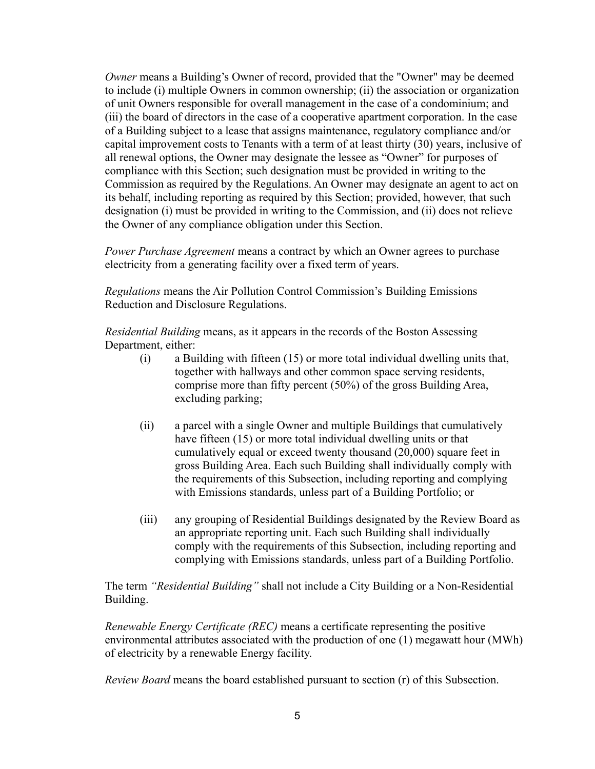*Owner* means a Building's Owner of record, provided that the "Owner" may be deemed to include (i) multiple Owners in common ownership; (ii) the association or organization of unit Owners responsible for overall management in the case of a condominium; and (iii) the board of directors in the case of a cooperative apartment corporation. In the case of a Building subject to a lease that assigns maintenance, regulatory compliance and/or capital improvement costs to Tenants with a term of at least thirty (30) years, inclusive of all renewal options, the Owner may designate the lessee as "Owner" for purposes of compliance with this Section; such designation must be provided in writing to the Commission as required by the Regulations. An Owner may designate an agent to act on its behalf, including reporting as required by this Section; provided, however, that such designation (i) must be provided in writing to the Commission, and (ii) does not relieve the Owner of any compliance obligation under this Section.

*Power Purchase Agreement* means a contract by which an Owner agrees to purchase electricity from a generating facility over a fixed term of years.

*Regulations* means the Air Pollution Control Commission's Building Emissions Reduction and Disclosure Regulations.

*Residential Building* means, as it appears in the records of the Boston Assessing Department, either:

- (i) a Building with fifteen (15) or more total individual dwelling units that, together with hallways and other common space serving residents, comprise more than fifty percent (50%) of the gross Building Area, excluding parking;
- (ii) a parcel with a single Owner and multiple Buildings that cumulatively have fifteen (15) or more total individual dwelling units or that cumulatively equal or exceed twenty thousand (20,000) square feet in gross Building Area. Each such Building shall individually comply with the requirements of this Subsection, including reporting and complying with Emissions standards, unless part of a Building Portfolio; or
- (iii) any grouping of Residential Buildings designated by the Review Board as an appropriate reporting unit. Each such Building shall individually comply with the requirements of this Subsection, including reporting and complying with Emissions standards, unless part of a Building Portfolio.

The term *"Residential Building"* shall not include a City Building or a Non-Residential Building.

*Renewable Energy Certificate (REC)* means a certificate representing the positive environmental attributes associated with the production of one (1) megawatt hour (MWh) of electricity by a renewable Energy facility.

*Review Board* means the board established pursuant to section (r) of this Subsection.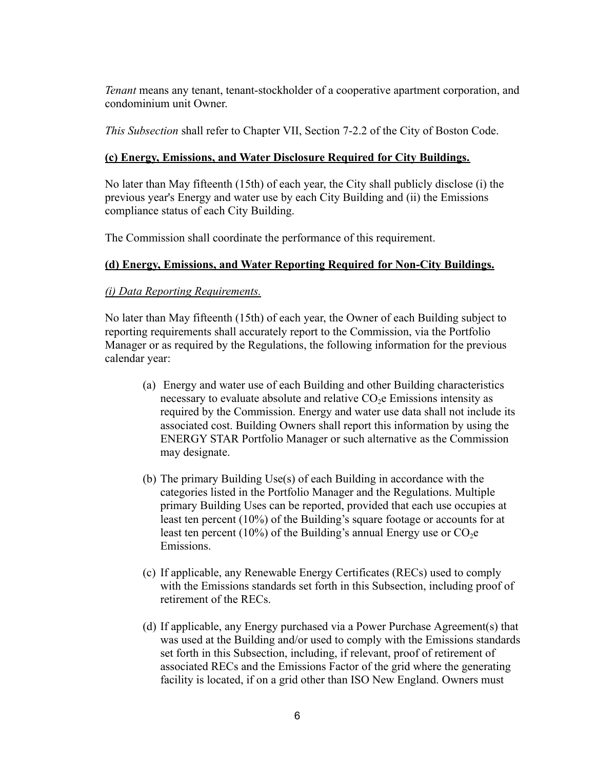*Tenant* means any tenant, tenant-stockholder of a cooperative apartment corporation, and condominium unit Owner.

*This Subsection* shall refer to Chapter VII, Section 7-2.2 of the City of Boston Code.

# **(c) Energy, Emissions, and Water Disclosure Required for City Buildings.**

No later than May fifteenth (15th) of each year, the City shall publicly disclose (i) the previous year's Energy and water use by each City Building and (ii) the Emissions compliance status of each City Building.

The Commission shall coordinate the performance of this requirement.

# **(d) Energy, Emissions, and Water Reporting Required for Non-City Buildings.**

# *(i) Data Reporting Requirements.*

No later than May fifteenth (15th) of each year, the Owner of each Building subject to reporting requirements shall accurately report to the Commission, via the Portfolio Manager or as required by the Regulations, the following information for the previous calendar year:

- (a) Energy and water use of each Building and other Building characteristics necessary to evaluate absolute and relative  $CO<sub>2</sub>e$  Emissions intensity as required by the Commission. Energy and water use data shall not include its associated cost. Building Owners shall report this information by using the ENERGY STAR Portfolio Manager or such alternative as the Commission may designate.
- (b) The primary Building Use(s) of each Building in accordance with the categories listed in the Portfolio Manager and the Regulations. Multiple primary Building Uses can be reported, provided that each use occupies at least ten percent (10%) of the Building's square footage or accounts for at least ten percent (10%) of the Building's annual Energy use or  $CO<sub>2</sub>e$ Emissions.
- (c) If applicable, any Renewable Energy Certificates (RECs) used to comply with the Emissions standards set forth in this Subsection, including proof of retirement of the RECs.
- (d) If applicable, any Energy purchased via a Power Purchase Agreement(s) that was used at the Building and/or used to comply with the Emissions standards set forth in this Subsection, including, if relevant, proof of retirement of associated RECs and the Emissions Factor of the grid where the generating facility is located, if on a grid other than ISO New England. Owners must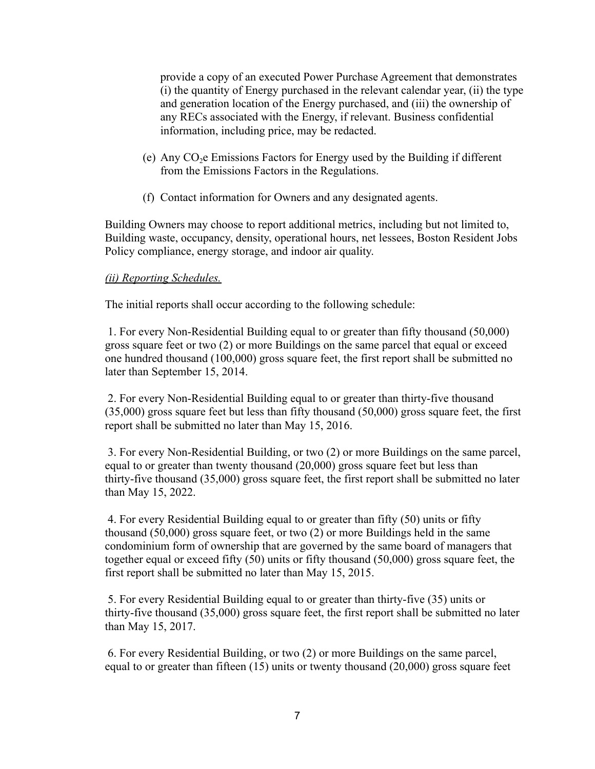provide a copy of an executed Power Purchase Agreement that demonstrates (i) the quantity of Energy purchased in the relevant calendar year, (ii) the type and generation location of the Energy purchased, and (iii) the ownership of any RECs associated with the Energy, if relevant. Business confidential information, including price, may be redacted.

- (e) Any  $CO<sub>2</sub>e$  Emissions Factors for Energy used by the Building if different from the Emissions Factors in the Regulations.
- (f) Contact information for Owners and any designated agents.

Building Owners may choose to report additional metrics, including but not limited to, Building waste, occupancy, density, operational hours, net lessees, Boston Resident Jobs Policy compliance, energy storage, and indoor air quality.

#### *(ii) Reporting Schedules.*

The initial reports shall occur according to the following schedule:

1. For every Non-Residential Building equal to or greater than fifty thousand (50,000) gross square feet or two (2) or more Buildings on the same parcel that equal or exceed one hundred thousand (100,000) gross square feet, the first report shall be submitted no later than September 15, 2014.

2. For every Non-Residential Building equal to or greater than thirty-five thousand (35,000) gross square feet but less than fifty thousand (50,000) gross square feet, the first report shall be submitted no later than May 15, 2016.

3. For every Non-Residential Building, or two (2) or more Buildings on the same parcel, equal to or greater than twenty thousand (20,000) gross square feet but less than thirty-five thousand (35,000) gross square feet, the first report shall be submitted no later than May 15, 2022.

4. For every Residential Building equal to or greater than fifty (50) units or fifty thousand (50,000) gross square feet, or two (2) or more Buildings held in the same condominium form of ownership that are governed by the same board of managers that together equal or exceed fifty (50) units or fifty thousand (50,000) gross square feet, the first report shall be submitted no later than May 15, 2015.

5. For every Residential Building equal to or greater than thirty-five (35) units or thirty-five thousand (35,000) gross square feet, the first report shall be submitted no later than May 15, 2017.

6. For every Residential Building, or two (2) or more Buildings on the same parcel, equal to or greater than fifteen (15) units or twenty thousand (20,000) gross square feet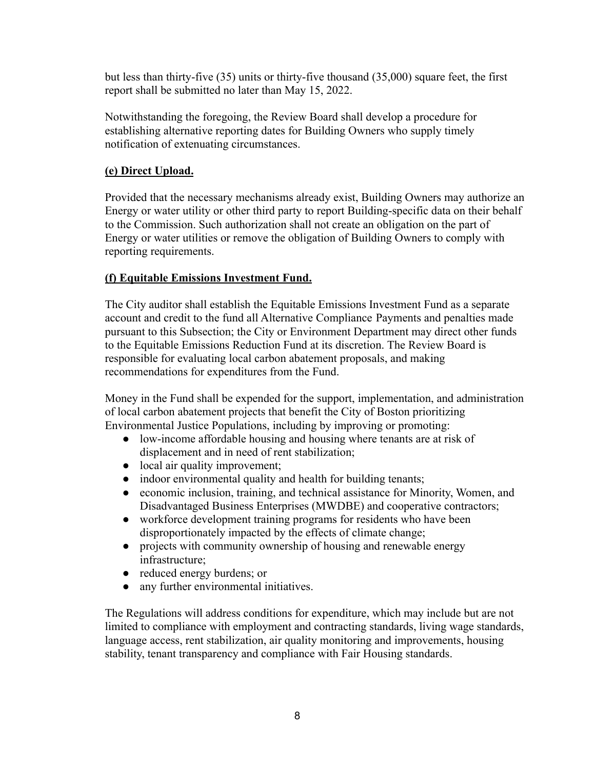but less than thirty-five (35) units or thirty-five thousand (35,000) square feet, the first report shall be submitted no later than May 15, 2022.

Notwithstanding the foregoing, the Review Board shall develop a procedure for establishing alternative reporting dates for Building Owners who supply timely notification of extenuating circumstances.

# **(e) Direct Upload.**

Provided that the necessary mechanisms already exist, Building Owners may authorize an Energy or water utility or other third party to report Building-specific data on their behalf to the Commission. Such authorization shall not create an obligation on the part of Energy or water utilities or remove the obligation of Building Owners to comply with reporting requirements.

# **(f) Equitable Emissions Investment Fund.**

The City auditor shall establish the Equitable Emissions Investment Fund as a separate account and credit to the fund all Alternative Compliance Payments and penalties made pursuant to this Subsection; the City or Environment Department may direct other funds to the Equitable Emissions Reduction Fund at its discretion. The Review Board is responsible for evaluating local carbon abatement proposals, and making recommendations for expenditures from the Fund.

Money in the Fund shall be expended for the support, implementation, and administration of local carbon abatement projects that benefit the City of Boston prioritizing Environmental Justice Populations, including by improving or promoting:

- low-income affordable housing and housing where tenants are at risk of displacement and in need of rent stabilization;
- local air quality improvement;
- indoor environmental quality and health for building tenants;
- economic inclusion, training, and technical assistance for Minority, Women, and Disadvantaged Business Enterprises (MWDBE) and cooperative contractors;
- workforce development training programs for residents who have been disproportionately impacted by the effects of climate change;
- projects with community ownership of housing and renewable energy infrastructure;
- reduced energy burdens; or
- any further environmental initiatives.

The Regulations will address conditions for expenditure, which may include but are not limited to compliance with employment and contracting standards, living wage standards, language access, rent stabilization, air quality monitoring and improvements, housing stability, tenant transparency and compliance with Fair Housing standards.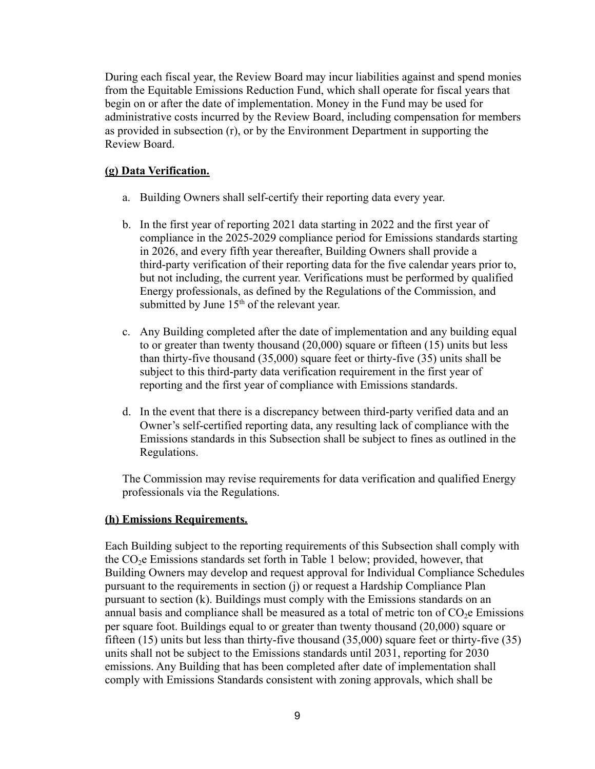During each fiscal year, the Review Board may incur liabilities against and spend monies from the Equitable Emissions Reduction Fund, which shall operate for fiscal years that begin on or after the date of implementation. Money in the Fund may be used for administrative costs incurred by the Review Board, including compensation for members as provided in subsection (r), or by the Environment Department in supporting the Review Board.

#### **(g) Data Verification.**

- a. Building Owners shall self-certify their reporting data every year.
- b. In the first year of reporting 2021 data starting in 2022 and the first year of compliance in the 2025-2029 compliance period for Emissions standards starting in 2026, and every fifth year thereafter, Building Owners shall provide a third-party verification of their reporting data for the five calendar years prior to, but not including, the current year. Verifications must be performed by qualified Energy professionals, as defined by the Regulations of the Commission, and submitted by June  $15<sup>th</sup>$  of the relevant year.
- c. Any Building completed after the date of implementation and any building equal to or greater than twenty thousand (20,000) square or fifteen (15) units but less than thirty-five thousand (35,000) square feet or thirty-five (35) units shall be subject to this third-party data verification requirement in the first year of reporting and the first year of compliance with Emissions standards.
- d. In the event that there is a discrepancy between third-party verified data and an Owner's self-certified reporting data, any resulting lack of compliance with the Emissions standards in this Subsection shall be subject to fines as outlined in the Regulations.

The Commission may revise requirements for data verification and qualified Energy professionals via the Regulations.

#### **(h) Emissions Requirements.**

Each Building subject to the reporting requirements of this Subsection shall comply with the  $CO<sub>2</sub>e$  Emissions standards set forth in Table 1 below; provided, however, that Building Owners may develop and request approval for Individual Compliance Schedules pursuant to the requirements in section (j) or request a Hardship Compliance Plan pursuant to section (k). Buildings must comply with the Emissions standards on an annual basis and compliance shall be measured as a total of metric ton of  $CO<sub>2</sub>e$  Emissions per square foot. Buildings equal to or greater than twenty thousand (20,000) square or fifteen (15) units but less than thirty-five thousand (35,000) square feet or thirty-five (35) units shall not be subject to the Emissions standards until 2031, reporting for 2030 emissions. Any Building that has been completed after date of implementation shall comply with Emissions Standards consistent with zoning approvals, which shall be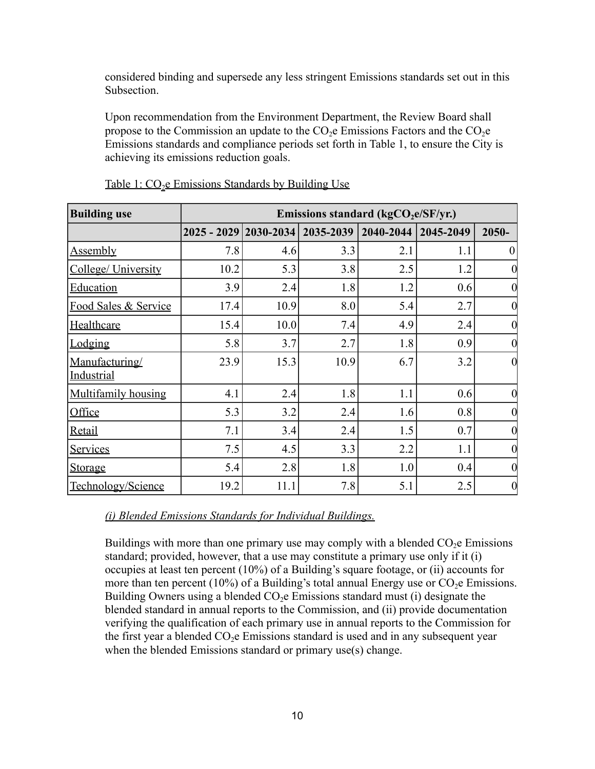considered binding and supersede any less stringent Emissions standards set out in this Subsection.

Upon recommendation from the Environment Department, the Review Board shall propose to the Commission an update to the  $CO<sub>2</sub>e$  Emissions Factors and the  $CO<sub>2</sub>e$ Emissions standards and compliance periods set forth in Table 1, to ensure the City is achieving its emissions reduction goals.

| <b>Building use</b>                 | Emissions standard ( $kgCO2e/SF/yr$ .)           |      |           |               |           |                  |
|-------------------------------------|--------------------------------------------------|------|-----------|---------------|-----------|------------------|
|                                     | $\left  2025 - 2029 \right  2030 - 2034 \right $ |      | 2035-2039 | $2040 - 2044$ | 2045-2049 | 2050-            |
| <u>Assembly</u>                     | 7.8                                              | 4.6  | 3.3       | 2.1           | 1.1       | $\theta$         |
| College/ University                 | 10.2                                             | 5.3  | 3.8       | 2.5           | 1.2       |                  |
| <b>Education</b>                    | 3.9                                              | 2.4  | 1.8       | 1.2           | 0.6       | 0                |
| Food Sales & Service                | 17.4                                             | 10.9 | 8.0       | 5.4           | 2.7       | $\overline{0}$   |
| Healthcare                          | 15.4                                             | 10.0 | 7.4       | 4.9           | 2.4       | 0                |
| Lodging                             | 5.8                                              | 3.7  | 2.7       | 1.8           | 0.9       | 0                |
| Manufacturing/<br><b>Industrial</b> | 23.9                                             | 15.3 | 10.9      | 6.7           | 3.2       | $\overline{0}$   |
| <b>Multifamily housing</b>          | 4.1                                              | 2.4  | 1.8       | 1.1           | 0.6       | 0                |
| Office                              | 5.3                                              | 3.2  | 2.4       | 1.6           | 0.8       | 0                |
| Retail                              | 7.1                                              | 3.4  | 2.4       | 1.5           | 0.7       | 0                |
| <b>Services</b>                     | 7.5                                              | 4.5  | 3.3       | 2.2           | 1.1       | 0                |
| Storage                             | 5.4                                              | 2.8  | 1.8       | 1.0           | 0.4       | 0                |
| Technology/Science                  | 19.2                                             | 11.1 | 7.8       | 5.1           | 2.5       | $\boldsymbol{0}$ |

*(i) Blended Emissions Standards for Individual Buildings.*

Buildings with more than one primary use may comply with a blended  $CO<sub>2</sub>e$  Emissions standard; provided, however, that a use may constitute a primary use only if it (i) occupies at least ten percent (10%) of a Building's square footage, or (ii) accounts for more than ten percent (10%) of a Building's total annual Energy use or  $CO<sub>2</sub>e$  Emissions. Building Owners using a blended  $CO<sub>2</sub>e$  Emissions standard must (i) designate the blended standard in annual reports to the Commission, and (ii) provide documentation verifying the qualification of each primary use in annual reports to the Commission for the first year a blended  $CO<sub>2</sub>e$  Emissions standard is used and in any subsequent year when the blended Emissions standard or primary use(s) change.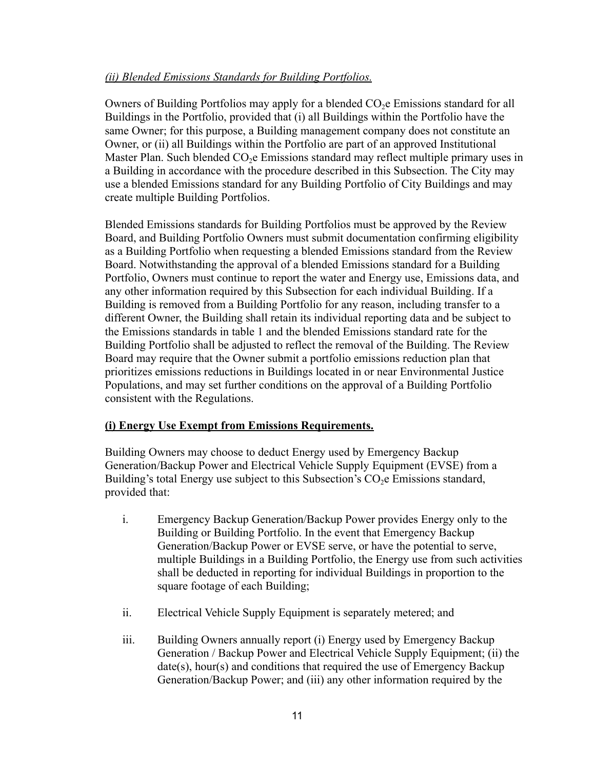## *(ii) Blended Emissions Standards for Building Portfolios.*

Owners of Building Portfolios may apply for a blended  $CO<sub>2</sub>e$  Emissions standard for all Buildings in the Portfolio, provided that (i) all Buildings within the Portfolio have the same Owner; for this purpose, a Building management company does not constitute an Owner, or (ii) all Buildings within the Portfolio are part of an approved Institutional Master Plan. Such blended  $CO<sub>2</sub>e$  Emissions standard may reflect multiple primary uses in a Building in accordance with the procedure described in this Subsection. The City may use a blended Emissions standard for any Building Portfolio of City Buildings and may create multiple Building Portfolios.

Blended Emissions standards for Building Portfolios must be approved by the Review Board, and Building Portfolio Owners must submit documentation confirming eligibility as a Building Portfolio when requesting a blended Emissions standard from the Review Board. Notwithstanding the approval of a blended Emissions standard for a Building Portfolio, Owners must continue to report the water and Energy use, Emissions data, and any other information required by this Subsection for each individual Building. If a Building is removed from a Building Portfolio for any reason, including transfer to a different Owner, the Building shall retain its individual reporting data and be subject to the Emissions standards in table 1 and the blended Emissions standard rate for the Building Portfolio shall be adjusted to reflect the removal of the Building. The Review Board may require that the Owner submit a portfolio emissions reduction plan that prioritizes emissions reductions in Buildings located in or near Environmental Justice Populations, and may set further conditions on the approval of a Building Portfolio consistent with the Regulations.

#### **(i) Energy Use Exempt from Emissions Requirements.**

Building Owners may choose to deduct Energy used by Emergency Backup Generation/Backup Power and Electrical Vehicle Supply Equipment (EVSE) from a Building's total Energy use subject to this Subsection's  $CO<sub>2</sub>e$  Emissions standard, provided that:

- i. Emergency Backup Generation/Backup Power provides Energy only to the Building or Building Portfolio. In the event that Emergency Backup Generation/Backup Power or EVSE serve, or have the potential to serve, multiple Buildings in a Building Portfolio, the Energy use from such activities shall be deducted in reporting for individual Buildings in proportion to the square footage of each Building;
- ii. Electrical Vehicle Supply Equipment is separately metered; and
- iii. Building Owners annually report (i) Energy used by Emergency Backup Generation / Backup Power and Electrical Vehicle Supply Equipment; (ii) the date(s), hour(s) and conditions that required the use of Emergency Backup Generation/Backup Power; and (iii) any other information required by the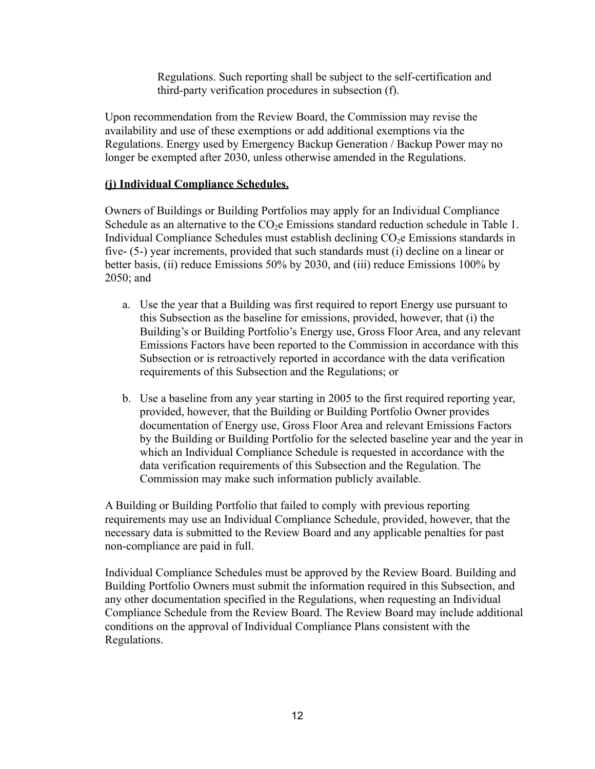Regulations. Such reporting shall be subject to the self-certification and third-party verification procedures in subsection (f).

Upon recommendation from the Review Board, the Commission may revise the availability and use of these exemptions or add additional exemptions via the Regulations. Energy used by Emergency Backup Generation / Backup Power may no longer be exempted after 2030, unless otherwise amended in the Regulations.

## **(j) Individual Compliance Schedules.**

Owners of Buildings or Building Portfolios may apply for an Individual Compliance Schedule as an alternative to the  $CO<sub>2</sub>e$  Emissions standard reduction schedule in Table 1. Individual Compliance Schedules must establish declining  $CO<sub>2</sub>e$  Emissions standards in five- (5-) year increments, provided that such standards must (i) decline on a linear or better basis, (ii) reduce Emissions 50% by 2030, and (iii) reduce Emissions 100% by 2050; and

- a. Use the year that a Building was first required to report Energy use pursuant to this Subsection as the baseline for emissions, provided, however, that (i) the Building's or Building Portfolio's Energy use, Gross Floor Area, and any relevant Emissions Factors have been reported to the Commission in accordance with this Subsection or is retroactively reported in accordance with the data verification requirements of this Subsection and the Regulations; or
- b. Use a baseline from any year starting in 2005 to the first required reporting year, provided, however, that the Building or Building Portfolio Owner provides documentation of Energy use, Gross Floor Area and relevant Emissions Factors by the Building or Building Portfolio for the selected baseline year and the year in which an Individual Compliance Schedule is requested in accordance with the data verification requirements of this Subsection and the Regulation. The Commission may make such information publicly available.

A Building or Building Portfolio that failed to comply with previous reporting requirements may use an Individual Compliance Schedule, provided, however, that the necessary data is submitted to the Review Board and any applicable penalties for past non-compliance are paid in full.

Individual Compliance Schedules must be approved by the Review Board. Building and Building Portfolio Owners must submit the information required in this Subsection, and any other documentation specified in the Regulations, when requesting an Individual Compliance Schedule from the Review Board. The Review Board may include additional conditions on the approval of Individual Compliance Plans consistent with the Regulations.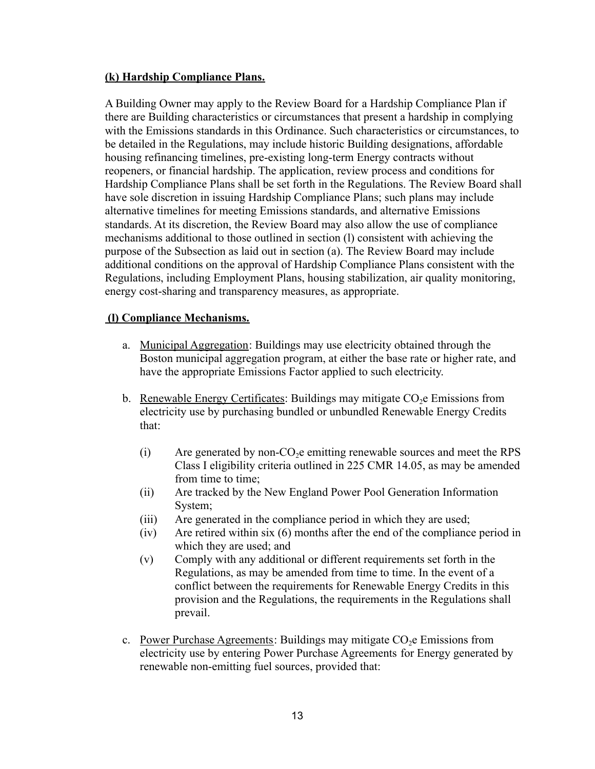## **(k) Hardship Compliance Plans.**

A Building Owner may apply to the Review Board for a Hardship Compliance Plan if there are Building characteristics or circumstances that present a hardship in complying with the Emissions standards in this Ordinance. Such characteristics or circumstances, to be detailed in the Regulations, may include historic Building designations, affordable housing refinancing timelines, pre-existing long-term Energy contracts without reopeners, or financial hardship. The application, review process and conditions for Hardship Compliance Plans shall be set forth in the Regulations. The Review Board shall have sole discretion in issuing Hardship Compliance Plans; such plans may include alternative timelines for meeting Emissions standards, and alternative Emissions standards. At its discretion, the Review Board may also allow the use of compliance mechanisms additional to those outlined in section (l) consistent with achieving the purpose of the Subsection as laid out in section (a). The Review Board may include additional conditions on the approval of Hardship Compliance Plans consistent with the Regulations, including Employment Plans, housing stabilization, air quality monitoring, energy cost-sharing and transparency measures, as appropriate.

## **(l) Compliance Mechanisms.**

- a. Municipal Aggregation: Buildings may use electricity obtained through the Boston municipal aggregation program, at either the base rate or higher rate, and have the appropriate Emissions Factor applied to such electricity.
- b. Renewable Energy Certificates: Buildings may mitigate  $CO<sub>2</sub>e$  Emissions from electricity use by purchasing bundled or unbundled Renewable Energy Credits that:
	- $(i)$  Are generated by non-CO<sub>2</sub> emitting renewable sources and meet the RPS Class I eligibility criteria outlined in 225 CMR 14.05, as may be amended from time to time:
	- (ii) Are tracked by the New England Power Pool Generation Information System;
	- (iii) Are generated in the compliance period in which they are used;
	- (iv) Are retired within six (6) months after the end of the compliance period in which they are used; and
	- (v) Comply with any additional or different requirements set forth in the Regulations, as may be amended from time to time. In the event of a conflict between the requirements for Renewable Energy Credits in this provision and the Regulations, the requirements in the Regulations shall prevail.
- c. Power Purchase Agreements: Buildings may mitigate  $CO<sub>2</sub>e$  Emissions from electricity use by entering Power Purchase Agreements for Energy generated by renewable non-emitting fuel sources, provided that: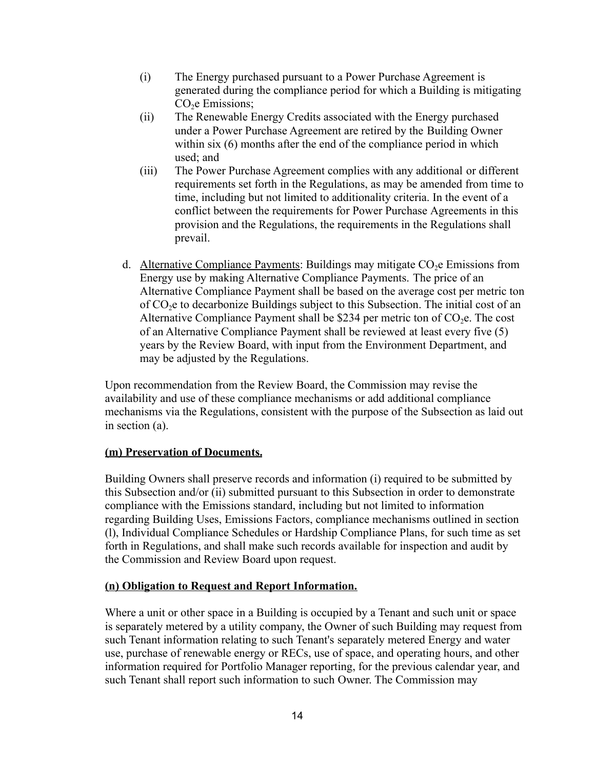- (i) The Energy purchased pursuant to a Power Purchase Agreement is generated during the compliance period for which a Building is mitigating CO<sub>2</sub>e Emissions;
- (ii) The Renewable Energy Credits associated with the Energy purchased under a Power Purchase Agreement are retired by the Building Owner within six (6) months after the end of the compliance period in which used; and
- (iii) The Power Purchase Agreement complies with any additional or different requirements set forth in the Regulations, as may be amended from time to time, including but not limited to additionality criteria. In the event of a conflict between the requirements for Power Purchase Agreements in this provision and the Regulations, the requirements in the Regulations shall prevail.
- d. Alternative Compliance Payments: Buildings may mitigate  $CO<sub>2</sub>e$  Emissions from Energy use by making Alternative Compliance Payments. The price of an Alternative Compliance Payment shall be based on the average cost per metric ton of  $CO<sub>2</sub>e$  to decarbonize Buildings subject to this Subsection. The initial cost of an Alternative Compliance Payment shall be \$234 per metric ton of  $CO<sub>2</sub>e$ . The cost of an Alternative Compliance Payment shall be reviewed at least every five (5) years by the Review Board, with input from the Environment Department, and may be adjusted by the Regulations.

Upon recommendation from the Review Board, the Commission may revise the availability and use of these compliance mechanisms or add additional compliance mechanisms via the Regulations, consistent with the purpose of the Subsection as laid out in section (a).

#### **(m) Preservation of Documents.**

Building Owners shall preserve records and information (i) required to be submitted by this Subsection and/or (ii) submitted pursuant to this Subsection in order to demonstrate compliance with the Emissions standard, including but not limited to information regarding Building Uses, Emissions Factors, compliance mechanisms outlined in section (l), Individual Compliance Schedules or Hardship Compliance Plans, for such time as set forth in Regulations, and shall make such records available for inspection and audit by the Commission and Review Board upon request.

#### **(n) Obligation to Request and Report Information.**

Where a unit or other space in a Building is occupied by a Tenant and such unit or space is separately metered by a utility company, the Owner of such Building may request from such Tenant information relating to such Tenant's separately metered Energy and water use, purchase of renewable energy or RECs, use of space, and operating hours, and other information required for Portfolio Manager reporting, for the previous calendar year, and such Tenant shall report such information to such Owner. The Commission may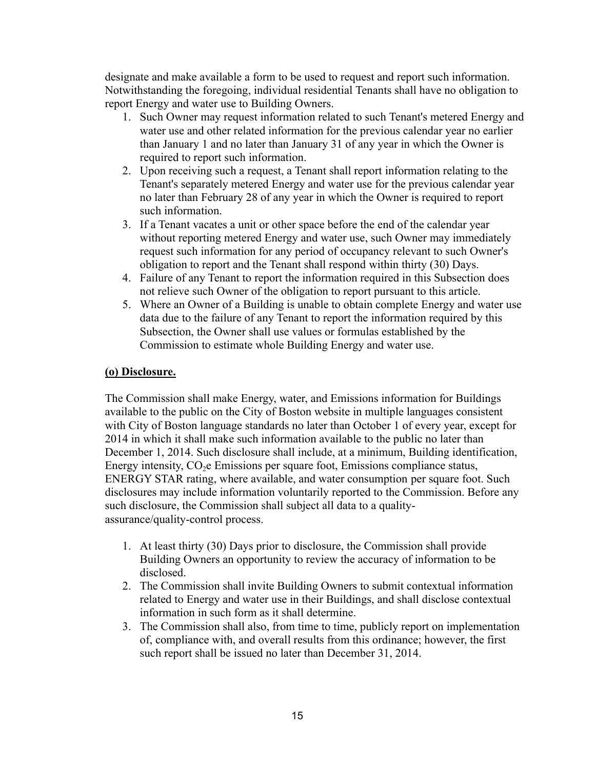designate and make available a form to be used to request and report such information. Notwithstanding the foregoing, individual residential Tenants shall have no obligation to report Energy and water use to Building Owners.

- 1. Such Owner may request information related to such Tenant's metered Energy and water use and other related information for the previous calendar year no earlier than January 1 and no later than January 31 of any year in which the Owner is required to report such information.
- 2. Upon receiving such a request, a Tenant shall report information relating to the Tenant's separately metered Energy and water use for the previous calendar year no later than February 28 of any year in which the Owner is required to report such information.
- 3. If a Tenant vacates a unit or other space before the end of the calendar year without reporting metered Energy and water use, such Owner may immediately request such information for any period of occupancy relevant to such Owner's obligation to report and the Tenant shall respond within thirty (30) Days.
- 4. Failure of any Tenant to report the information required in this Subsection does not relieve such Owner of the obligation to report pursuant to this article.
- 5. Where an Owner of a Building is unable to obtain complete Energy and water use data due to the failure of any Tenant to report the information required by this Subsection, the Owner shall use values or formulas established by the Commission to estimate whole Building Energy and water use.

## **(o) Disclosure.**

The Commission shall make Energy, water, and Emissions information for Buildings available to the public on the City of Boston website in multiple languages consistent with City of Boston language standards no later than October 1 of every year, except for 2014 in which it shall make such information available to the public no later than December 1, 2014. Such disclosure shall include, at a minimum, Building identification, Energy intensity, CO<sub>2</sub>e Emissions per square foot, Emissions compliance status, ENERGY STAR rating, where available, and water consumption per square foot. Such disclosures may include information voluntarily reported to the Commission. Before any such disclosure, the Commission shall subject all data to a qualityassurance/quality-control process.

- 1. At least thirty (30) Days prior to disclosure, the Commission shall provide Building Owners an opportunity to review the accuracy of information to be disclosed.
- 2. The Commission shall invite Building Owners to submit contextual information related to Energy and water use in their Buildings, and shall disclose contextual information in such form as it shall determine.
- 3. The Commission shall also, from time to time, publicly report on implementation of, compliance with, and overall results from this ordinance; however, the first such report shall be issued no later than December 31, 2014.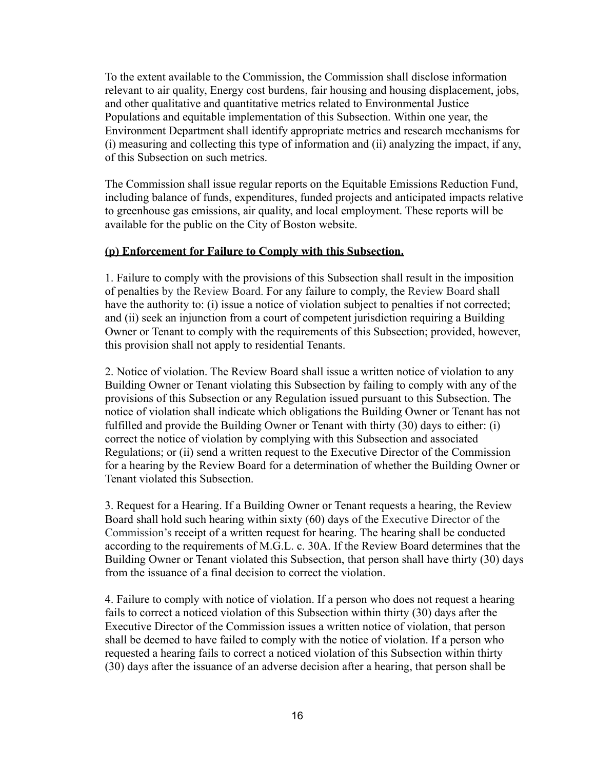To the extent available to the Commission, the Commission shall disclose information relevant to air quality, Energy cost burdens, fair housing and housing displacement, jobs, and other qualitative and quantitative metrics related to Environmental Justice Populations and equitable implementation of this Subsection. Within one year, the Environment Department shall identify appropriate metrics and research mechanisms for (i) measuring and collecting this type of information and (ii) analyzing the impact, if any, of this Subsection on such metrics.

The Commission shall issue regular reports on the Equitable Emissions Reduction Fund, including balance of funds, expenditures, funded projects and anticipated impacts relative to greenhouse gas emissions, air quality, and local employment. These reports will be available for the public on the City of Boston website.

#### **(p) Enforcement for Failure to Comply with this Subsection.**

1. Failure to comply with the provisions of this Subsection shall result in the imposition of penalties by the Review Board. For any failure to comply, the Review Board shall have the authority to: (i) issue a notice of violation subject to penalties if not corrected; and (ii) seek an injunction from a court of competent jurisdiction requiring a Building Owner or Tenant to comply with the requirements of this Subsection; provided, however, this provision shall not apply to residential Tenants.

2. Notice of violation. The Review Board shall issue a written notice of violation to any Building Owner or Tenant violating this Subsection by failing to comply with any of the provisions of this Subsection or any Regulation issued pursuant to this Subsection. The notice of violation shall indicate which obligations the Building Owner or Tenant has not fulfilled and provide the Building Owner or Tenant with thirty (30) days to either: (i) correct the notice of violation by complying with this Subsection and associated Regulations; or (ii) send a written request to the Executive Director of the Commission for a hearing by the Review Board for a determination of whether the Building Owner or Tenant violated this Subsection.

3. Request for a Hearing. If a Building Owner or Tenant requests a hearing, the Review Board shall hold such hearing within sixty (60) days of the Executive Director of the Commission's receipt of a written request for hearing. The hearing shall be conducted according to the requirements of M.G.L. c. 30A. If the Review Board determines that the Building Owner or Tenant violated this Subsection, that person shall have thirty (30) days from the issuance of a final decision to correct the violation.

4. Failure to comply with notice of violation. If a person who does not request a hearing fails to correct a noticed violation of this Subsection within thirty (30) days after the Executive Director of the Commission issues a written notice of violation, that person shall be deemed to have failed to comply with the notice of violation. If a person who requested a hearing fails to correct a noticed violation of this Subsection within thirty (30) days after the issuance of an adverse decision after a hearing, that person shall be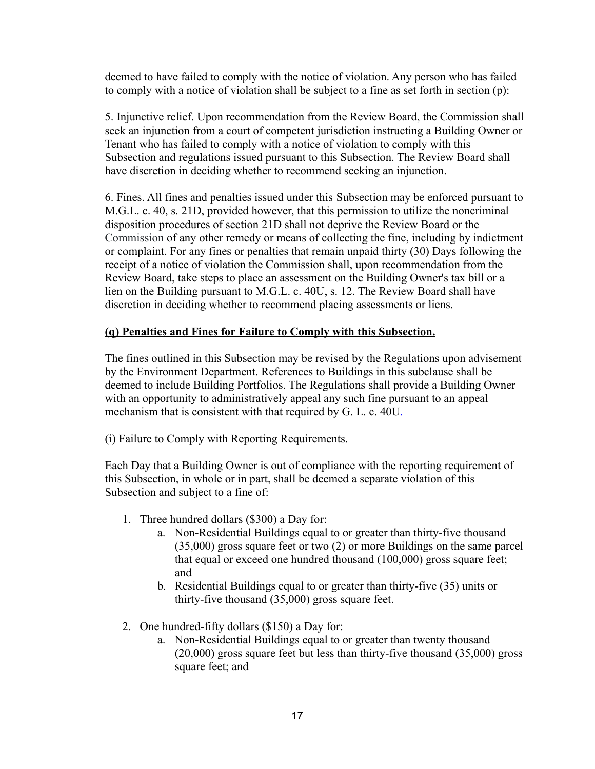deemed to have failed to comply with the notice of violation. Any person who has failed to comply with a notice of violation shall be subject to a fine as set forth in section (p):

5. Injunctive relief. Upon recommendation from the Review Board, the Commission shall seek an injunction from a court of competent jurisdiction instructing a Building Owner or Tenant who has failed to comply with a notice of violation to comply with this Subsection and regulations issued pursuant to this Subsection. The Review Board shall have discretion in deciding whether to recommend seeking an injunction.

6. Fines. All fines and penalties issued under this Subsection may be enforced pursuant to M.G.L. c. 40, s. 21D, provided however, that this permission to utilize the noncriminal disposition procedures of section 21D shall not deprive the Review Board or the Commission of any other remedy or means of collecting the fine, including by indictment or complaint. For any fines or penalties that remain unpaid thirty (30) Days following the receipt of a notice of violation the Commission shall, upon recommendation from the Review Board, take steps to place an assessment on the Building Owner's tax bill or a lien on the Building pursuant to M.G.L. c. 40U, s. 12. The Review Board shall have discretion in deciding whether to recommend placing assessments or liens.

## **(q) Penalties and Fines for Failure to Comply with this Subsection.**

The fines outlined in this Subsection may be revised by the Regulations upon advisement by the Environment Department. References to Buildings in this subclause shall be deemed to include Building Portfolios. The Regulations shall provide a Building Owner with an opportunity to administratively appeal any such fine pursuant to an appeal mechanism that is consistent with that required by G. L. c. 40U.

#### (i) Failure to Comply with Reporting Requirements.

Each Day that a Building Owner is out of compliance with the reporting requirement of this Subsection, in whole or in part, shall be deemed a separate violation of this Subsection and subject to a fine of:

- 1. Three hundred dollars (\$300) a Day for:
	- a. Non-Residential Buildings equal to or greater than thirty-five thousand (35,000) gross square feet or two (2) or more Buildings on the same parcel that equal or exceed one hundred thousand (100,000) gross square feet; and
	- b. Residential Buildings equal to or greater than thirty-five (35) units or thirty-five thousand (35,000) gross square feet.
- 2. One hundred-fifty dollars (\$150) a Day for:
	- a. Non-Residential Buildings equal to or greater than twenty thousand (20,000) gross square feet but less than thirty-five thousand (35,000) gross square feet; and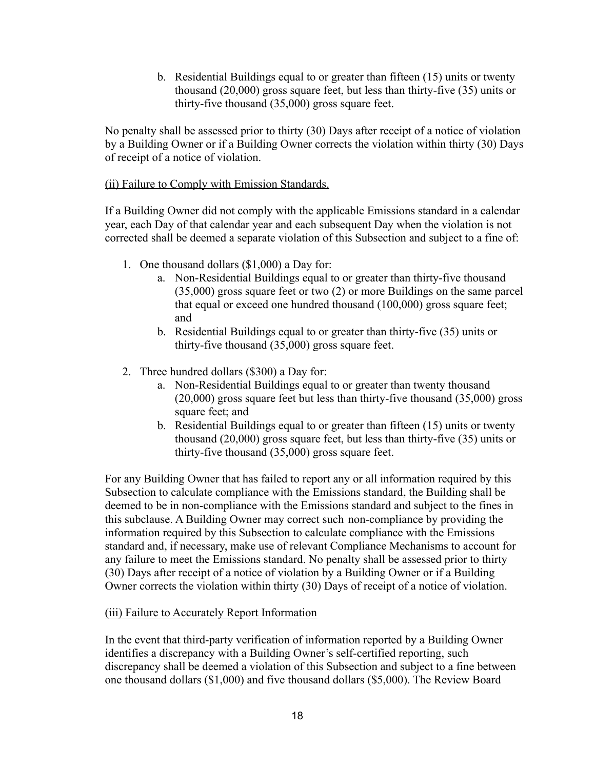b. Residential Buildings equal to or greater than fifteen (15) units or twenty thousand (20,000) gross square feet, but less than thirty-five (35) units or thirty-five thousand (35,000) gross square feet.

No penalty shall be assessed prior to thirty (30) Days after receipt of a notice of violation by a Building Owner or if a Building Owner corrects the violation within thirty (30) Days of receipt of a notice of violation.

#### (ii) Failure to Comply with Emission Standards.

If a Building Owner did not comply with the applicable Emissions standard in a calendar year, each Day of that calendar year and each subsequent Day when the violation is not corrected shall be deemed a separate violation of this Subsection and subject to a fine of:

- 1. One thousand dollars (\$1,000) a Day for:
	- a. Non-Residential Buildings equal to or greater than thirty-five thousand (35,000) gross square feet or two (2) or more Buildings on the same parcel that equal or exceed one hundred thousand (100,000) gross square feet; and
	- b. Residential Buildings equal to or greater than thirty-five (35) units or thirty-five thousand (35,000) gross square feet.
- 2. Three hundred dollars (\$300) a Day for:
	- a. Non-Residential Buildings equal to or greater than twenty thousand (20,000) gross square feet but less than thirty-five thousand (35,000) gross square feet; and
	- b. Residential Buildings equal to or greater than fifteen (15) units or twenty thousand (20,000) gross square feet, but less than thirty-five (35) units or thirty-five thousand (35,000) gross square feet.

For any Building Owner that has failed to report any or all information required by this Subsection to calculate compliance with the Emissions standard, the Building shall be deemed to be in non-compliance with the Emissions standard and subject to the fines in this subclause. A Building Owner may correct such non-compliance by providing the information required by this Subsection to calculate compliance with the Emissions standard and, if necessary, make use of relevant Compliance Mechanisms to account for any failure to meet the Emissions standard. No penalty shall be assessed prior to thirty (30) Days after receipt of a notice of violation by a Building Owner or if a Building Owner corrects the violation within thirty (30) Days of receipt of a notice of violation.

## (iii) Failure to Accurately Report Information

In the event that third-party verification of information reported by a Building Owner identifies a discrepancy with a Building Owner's self-certified reporting, such discrepancy shall be deemed a violation of this Subsection and subject to a fine between one thousand dollars (\$1,000) and five thousand dollars (\$5,000). The Review Board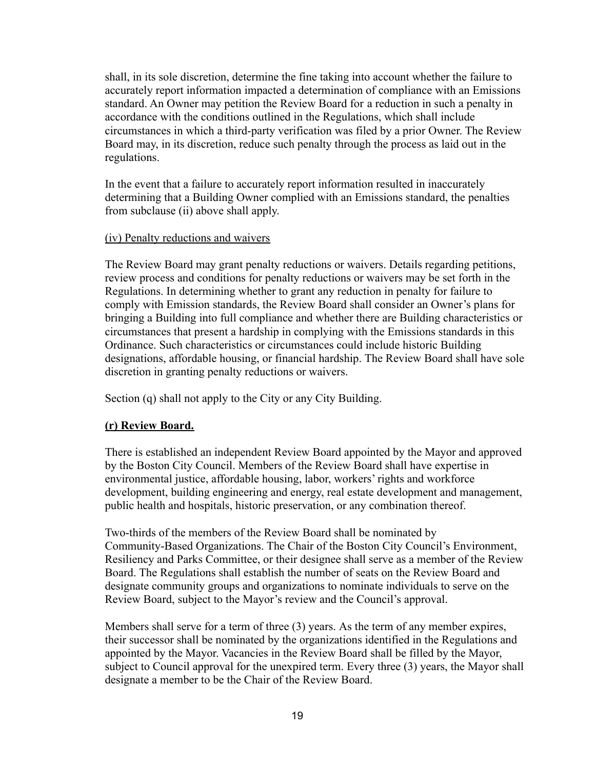shall, in its sole discretion, determine the fine taking into account whether the failure to accurately report information impacted a determination of compliance with an Emissions standard. An Owner may petition the Review Board for a reduction in such a penalty in accordance with the conditions outlined in the Regulations, which shall include circumstances in which a third-party verification was filed by a prior Owner. The Review Board may, in its discretion, reduce such penalty through the process as laid out in the regulations.

In the event that a failure to accurately report information resulted in inaccurately determining that a Building Owner complied with an Emissions standard, the penalties from subclause (ii) above shall apply.

#### (iv) Penalty reductions and waivers

The Review Board may grant penalty reductions or waivers. Details regarding petitions, review process and conditions for penalty reductions or waivers may be set forth in the Regulations. In determining whether to grant any reduction in penalty for failure to comply with Emission standards, the Review Board shall consider an Owner's plans for bringing a Building into full compliance and whether there are Building characteristics or circumstances that present a hardship in complying with the Emissions standards in this Ordinance. Such characteristics or circumstances could include historic Building designations, affordable housing, or financial hardship. The Review Board shall have sole discretion in granting penalty reductions or waivers.

Section (q) shall not apply to the City or any City Building.

#### **(r) Review Board.**

There is established an independent Review Board appointed by the Mayor and approved by the Boston City Council. Members of the Review Board shall have expertise in environmental justice, affordable housing, labor, workers' rights and workforce development, building engineering and energy, real estate development and management, public health and hospitals, historic preservation, or any combination thereof.

Two-thirds of the members of the Review Board shall be nominated by Community-Based Organizations. The Chair of the Boston City Council's Environment, Resiliency and Parks Committee, or their designee shall serve as a member of the Review Board. The Regulations shall establish the number of seats on the Review Board and designate community groups and organizations to nominate individuals to serve on the Review Board, subject to the Mayor's review and the Council's approval.

Members shall serve for a term of three (3) years. As the term of any member expires, their successor shall be nominated by the organizations identified in the Regulations and appointed by the Mayor. Vacancies in the Review Board shall be filled by the Mayor, subject to Council approval for the unexpired term. Every three (3) years, the Mayor shall designate a member to be the Chair of the Review Board.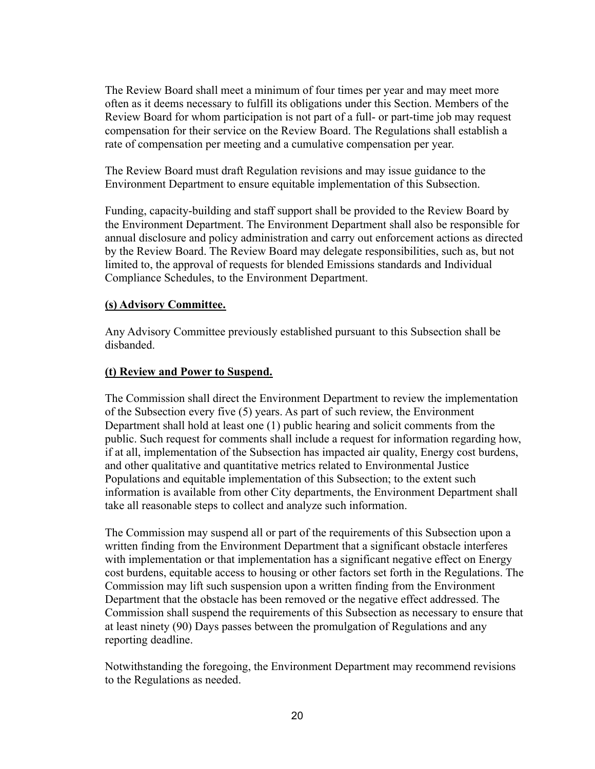The Review Board shall meet a minimum of four times per year and may meet more often as it deems necessary to fulfill its obligations under this Section. Members of the Review Board for whom participation is not part of a full- or part-time job may request compensation for their service on the Review Board. The Regulations shall establish a rate of compensation per meeting and a cumulative compensation per year.

The Review Board must draft Regulation revisions and may issue guidance to the Environment Department to ensure equitable implementation of this Subsection.

Funding, capacity-building and staff support shall be provided to the Review Board by the Environment Department. The Environment Department shall also be responsible for annual disclosure and policy administration and carry out enforcement actions as directed by the Review Board. The Review Board may delegate responsibilities, such as, but not limited to, the approval of requests for blended Emissions standards and Individual Compliance Schedules, to the Environment Department.

## **(s) Advisory Committee.**

Any Advisory Committee previously established pursuant to this Subsection shall be disbanded.

## **(t) Review and Power to Suspend.**

The Commission shall direct the Environment Department to review the implementation of the Subsection every five (5) years. As part of such review, the Environment Department shall hold at least one (1) public hearing and solicit comments from the public. Such request for comments shall include a request for information regarding how, if at all, implementation of the Subsection has impacted air quality, Energy cost burdens, and other qualitative and quantitative metrics related to Environmental Justice Populations and equitable implementation of this Subsection; to the extent such information is available from other City departments, the Environment Department shall take all reasonable steps to collect and analyze such information.

The Commission may suspend all or part of the requirements of this Subsection upon a written finding from the Environment Department that a significant obstacle interferes with implementation or that implementation has a significant negative effect on Energy cost burdens, equitable access to housing or other factors set forth in the Regulations. The Commission may lift such suspension upon a written finding from the Environment Department that the obstacle has been removed or the negative effect addressed. The Commission shall suspend the requirements of this Subsection as necessary to ensure that at least ninety (90) Days passes between the promulgation of Regulations and any reporting deadline.

Notwithstanding the foregoing, the Environment Department may recommend revisions to the Regulations as needed.